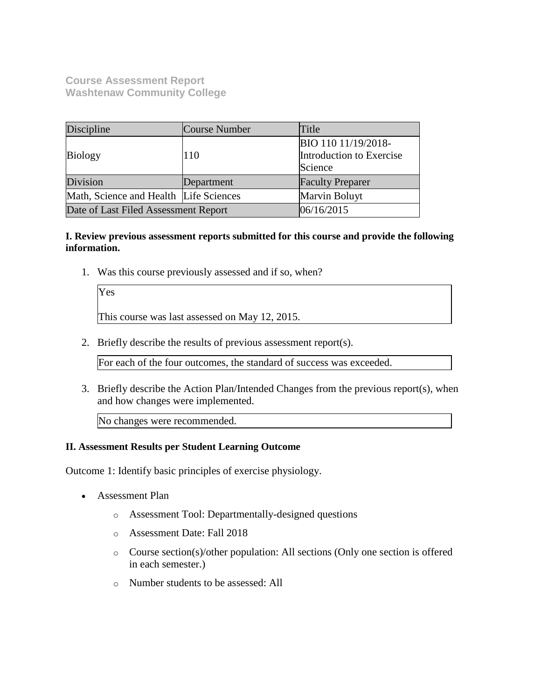**Course Assessment Report Washtenaw Community College**

| Discipline                             | Course Number | Title                    |  |
|----------------------------------------|---------------|--------------------------|--|
|                                        |               | BIO 110 11/19/2018-      |  |
| <b>Biology</b>                         | 110           | Introduction to Exercise |  |
|                                        |               | Science                  |  |
| Division                               | Department    | <b>Faculty Preparer</b>  |  |
| Math, Science and Health Life Sciences |               | Marvin Boluyt            |  |
| Date of Last Filed Assessment Report   |               | 06/16/2015               |  |

## **I. Review previous assessment reports submitted for this course and provide the following information.**

1. Was this course previously assessed and if so, when?

| Yes                                            |
|------------------------------------------------|
| This course was last assessed on May 12, 2015. |

2. Briefly describe the results of previous assessment report(s).

For each of the four outcomes, the standard of success was exceeded.

3. Briefly describe the Action Plan/Intended Changes from the previous report(s), when and how changes were implemented.

No changes were recommended.

#### **II. Assessment Results per Student Learning Outcome**

Outcome 1: Identify basic principles of exercise physiology.

- Assessment Plan
	- o Assessment Tool: Departmentally-designed questions
	- o Assessment Date: Fall 2018
	- o Course section(s)/other population: All sections (Only one section is offered in each semester.)
	- o Number students to be assessed: All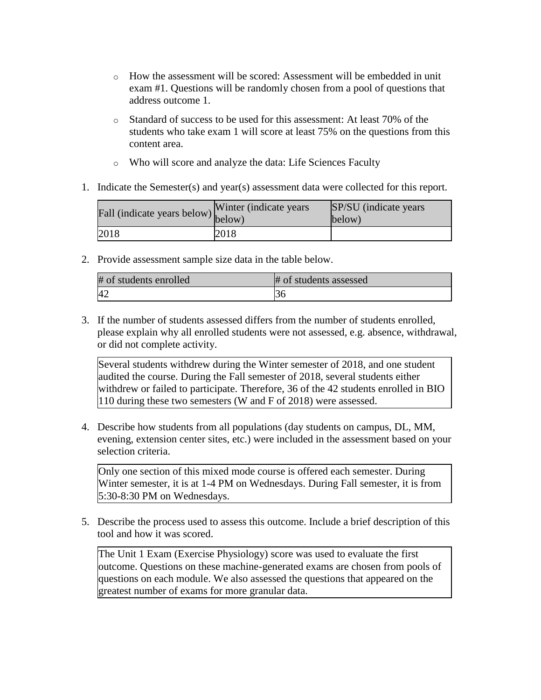- o How the assessment will be scored: Assessment will be embedded in unit exam #1. Questions will be randomly chosen from a pool of questions that address outcome 1.
- o Standard of success to be used for this assessment: At least 70% of the students who take exam 1 will score at least 75% on the questions from this content area.
- o Who will score and analyze the data: Life Sciences Faculty
- 1. Indicate the Semester(s) and year(s) assessment data were collected for this report.

| Fall (indicate years below) below) | Winter (indicate years) | SP/SU (indicate years)<br>below) |
|------------------------------------|-------------------------|----------------------------------|
| 2018                               | 2018                    |                                  |

2. Provide assessment sample size data in the table below.

| # of students enrolled | # of students assessed |
|------------------------|------------------------|
| 42                     |                        |

3. If the number of students assessed differs from the number of students enrolled, please explain why all enrolled students were not assessed, e.g. absence, withdrawal, or did not complete activity.

Several students withdrew during the Winter semester of 2018, and one student audited the course. During the Fall semester of 2018, several students either withdrew or failed to participate. Therefore, 36 of the 42 students enrolled in BIO 110 during these two semesters (W and F of 2018) were assessed.

4. Describe how students from all populations (day students on campus, DL, MM, evening, extension center sites, etc.) were included in the assessment based on your selection criteria.

Only one section of this mixed mode course is offered each semester. During Winter semester, it is at 1-4 PM on Wednesdays. During Fall semester, it is from 5:30-8:30 PM on Wednesdays.

5. Describe the process used to assess this outcome. Include a brief description of this tool and how it was scored.

The Unit 1 Exam (Exercise Physiology) score was used to evaluate the first outcome. Questions on these machine-generated exams are chosen from pools of questions on each module. We also assessed the questions that appeared on the greatest number of exams for more granular data.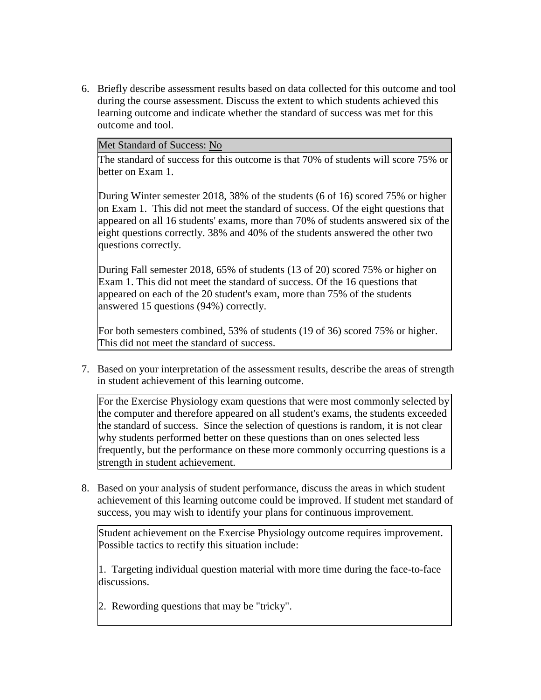6. Briefly describe assessment results based on data collected for this outcome and tool during the course assessment. Discuss the extent to which students achieved this learning outcome and indicate whether the standard of success was met for this outcome and tool.

#### Met Standard of Success: No

The standard of success for this outcome is that 70% of students will score 75% or better on Exam 1.

During Winter semester 2018, 38% of the students (6 of 16) scored 75% or higher on Exam 1. This did not meet the standard of success. Of the eight questions that appeared on all 16 students' exams, more than 70% of students answered six of the eight questions correctly. 38% and 40% of the students answered the other two questions correctly.

During Fall semester 2018, 65% of students (13 of 20) scored 75% or higher on Exam 1. This did not meet the standard of success. Of the 16 questions that appeared on each of the 20 student's exam, more than 75% of the students answered 15 questions (94%) correctly.

For both semesters combined, 53% of students (19 of 36) scored 75% or higher. This did not meet the standard of success.

7. Based on your interpretation of the assessment results, describe the areas of strength in student achievement of this learning outcome.

For the Exercise Physiology exam questions that were most commonly selected by the computer and therefore appeared on all student's exams, the students exceeded the standard of success. Since the selection of questions is random, it is not clear why students performed better on these questions than on ones selected less frequently, but the performance on these more commonly occurring questions is a strength in student achievement.

8. Based on your analysis of student performance, discuss the areas in which student achievement of this learning outcome could be improved. If student met standard of success, you may wish to identify your plans for continuous improvement.

Student achievement on the Exercise Physiology outcome requires improvement. Possible tactics to rectify this situation include:

1. Targeting individual question material with more time during the face-to-face discussions.

2. Rewording questions that may be "tricky".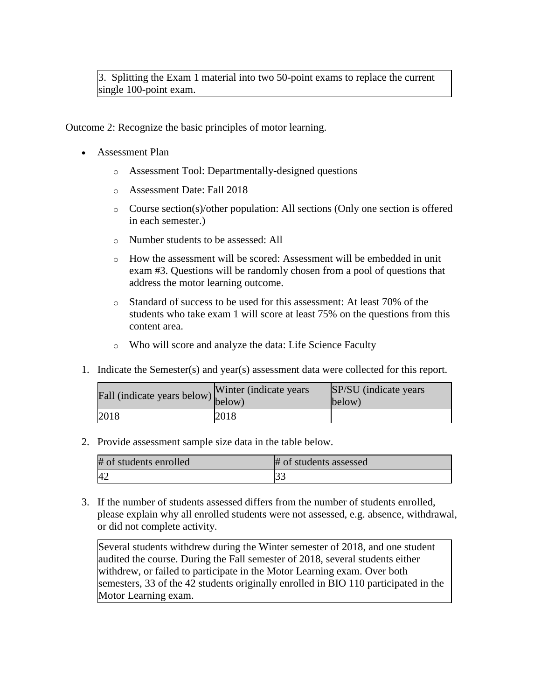3. Splitting the Exam 1 material into two 50-point exams to replace the current single 100-point exam.

Outcome 2: Recognize the basic principles of motor learning.

- Assessment Plan
	- o Assessment Tool: Departmentally-designed questions
	- o Assessment Date: Fall 2018
	- o Course section(s)/other population: All sections (Only one section is offered in each semester.)
	- o Number students to be assessed: All
	- o How the assessment will be scored: Assessment will be embedded in unit exam #3. Questions will be randomly chosen from a pool of questions that address the motor learning outcome.
	- o Standard of success to be used for this assessment: At least 70% of the students who take exam 1 will score at least 75% on the questions from this content area.
	- o Who will score and analyze the data: Life Science Faculty
- 1. Indicate the Semester(s) and year(s) assessment data were collected for this report.

| rall (indicate years below) below) | Winter (indicate years) | SP/SU (indicate years)<br>below) |
|------------------------------------|-------------------------|----------------------------------|
| 2018                               | 2018                    |                                  |

2. Provide assessment sample size data in the table below.

| # of students enrolled | # of students assessed |
|------------------------|------------------------|
|                        | يدر.                   |

3. If the number of students assessed differs from the number of students enrolled, please explain why all enrolled students were not assessed, e.g. absence, withdrawal, or did not complete activity.

Several students withdrew during the Winter semester of 2018, and one student audited the course. During the Fall semester of 2018, several students either withdrew, or failed to participate in the Motor Learning exam. Over both semesters, 33 of the 42 students originally enrolled in BIO 110 participated in the Motor Learning exam.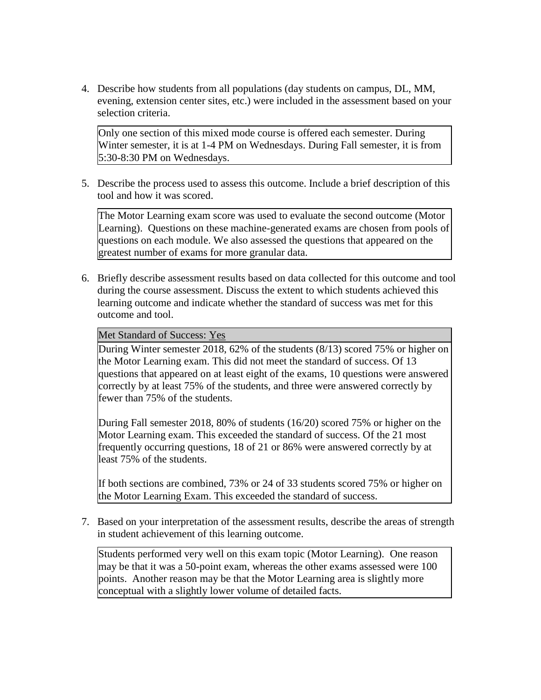4. Describe how students from all populations (day students on campus, DL, MM, evening, extension center sites, etc.) were included in the assessment based on your selection criteria.

Only one section of this mixed mode course is offered each semester. During Winter semester, it is at 1-4 PM on Wednesdays. During Fall semester, it is from 5:30-8:30 PM on Wednesdays.

5. Describe the process used to assess this outcome. Include a brief description of this tool and how it was scored.

The Motor Learning exam score was used to evaluate the second outcome (Motor Learning). Questions on these machine-generated exams are chosen from pools of questions on each module. We also assessed the questions that appeared on the greatest number of exams for more granular data.

6. Briefly describe assessment results based on data collected for this outcome and tool during the course assessment. Discuss the extent to which students achieved this learning outcome and indicate whether the standard of success was met for this outcome and tool.

Met Standard of Success: Yes

During Winter semester 2018, 62% of the students (8/13) scored 75% or higher on the Motor Learning exam. This did not meet the standard of success. Of 13 questions that appeared on at least eight of the exams, 10 questions were answered correctly by at least 75% of the students, and three were answered correctly by fewer than 75% of the students.

During Fall semester 2018, 80% of students (16/20) scored 75% or higher on the Motor Learning exam. This exceeded the standard of success. Of the 21 most frequently occurring questions, 18 of 21 or 86% were answered correctly by at least 75% of the students.

If both sections are combined, 73% or 24 of 33 students scored 75% or higher on the Motor Learning Exam. This exceeded the standard of success.

7. Based on your interpretation of the assessment results, describe the areas of strength in student achievement of this learning outcome.

Students performed very well on this exam topic (Motor Learning). One reason may be that it was a 50-point exam, whereas the other exams assessed were 100 points. Another reason may be that the Motor Learning area is slightly more conceptual with a slightly lower volume of detailed facts.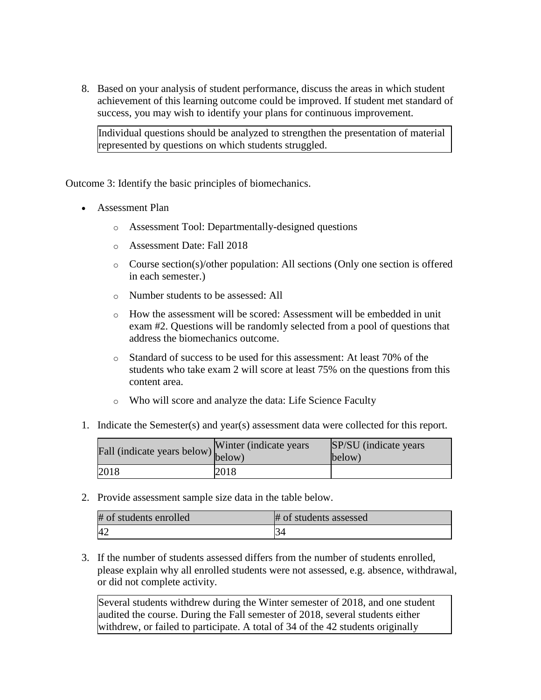8. Based on your analysis of student performance, discuss the areas in which student achievement of this learning outcome could be improved. If student met standard of success, you may wish to identify your plans for continuous improvement.

Individual questions should be analyzed to strengthen the presentation of material represented by questions on which students struggled.

Outcome 3: Identify the basic principles of biomechanics.

- Assessment Plan
	- o Assessment Tool: Departmentally-designed questions
	- o Assessment Date: Fall 2018
	- o Course section(s)/other population: All sections (Only one section is offered in each semester.)
	- o Number students to be assessed: All
	- o How the assessment will be scored: Assessment will be embedded in unit exam #2. Questions will be randomly selected from a pool of questions that address the biomechanics outcome.
	- o Standard of success to be used for this assessment: At least 70% of the students who take exam 2 will score at least 75% on the questions from this content area.
	- o Who will score and analyze the data: Life Science Faculty
- 1. Indicate the Semester(s) and year(s) assessment data were collected for this report.

| Fall (indicate years below) below) | Winter (indicate years) | SP/SU (indicate years)<br>below) |
|------------------------------------|-------------------------|----------------------------------|
| 2018                               | 2018                    |                                  |

2. Provide assessment sample size data in the table below.

| # of students enrolled | # of students assessed |
|------------------------|------------------------|
| 42                     |                        |

3. If the number of students assessed differs from the number of students enrolled, please explain why all enrolled students were not assessed, e.g. absence, withdrawal, or did not complete activity.

Several students withdrew during the Winter semester of 2018, and one student audited the course. During the Fall semester of 2018, several students either withdrew, or failed to participate. A total of 34 of the 42 students originally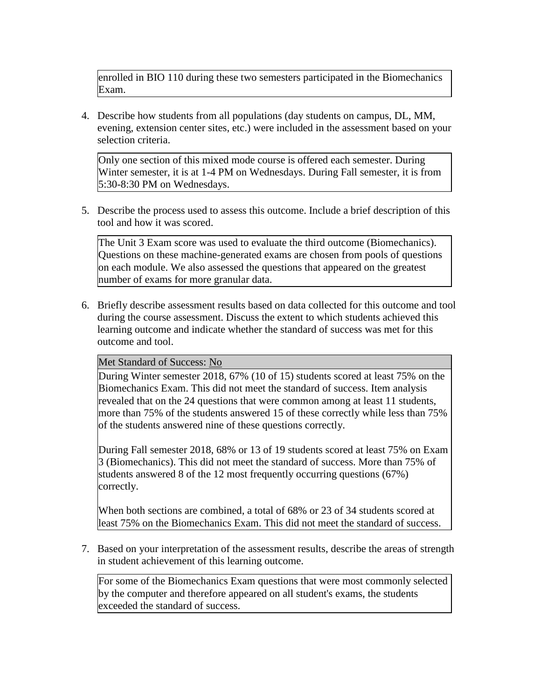enrolled in BIO 110 during these two semesters participated in the Biomechanics Exam.

4. Describe how students from all populations (day students on campus, DL, MM, evening, extension center sites, etc.) were included in the assessment based on your selection criteria.

Only one section of this mixed mode course is offered each semester. During Winter semester, it is at 1-4 PM on Wednesdays. During Fall semester, it is from 5:30-8:30 PM on Wednesdays.

5. Describe the process used to assess this outcome. Include a brief description of this tool and how it was scored.

The Unit 3 Exam score was used to evaluate the third outcome (Biomechanics). Questions on these machine-generated exams are chosen from pools of questions on each module. We also assessed the questions that appeared on the greatest number of exams for more granular data.

6. Briefly describe assessment results based on data collected for this outcome and tool during the course assessment. Discuss the extent to which students achieved this learning outcome and indicate whether the standard of success was met for this outcome and tool.

## Met Standard of Success: No

During Winter semester 2018, 67% (10 of 15) students scored at least 75% on the Biomechanics Exam. This did not meet the standard of success. Item analysis revealed that on the 24 questions that were common among at least 11 students, more than 75% of the students answered 15 of these correctly while less than 75% of the students answered nine of these questions correctly.

During Fall semester 2018, 68% or 13 of 19 students scored at least 75% on Exam 3 (Biomechanics). This did not meet the standard of success. More than 75% of students answered 8 of the 12 most frequently occurring questions (67%) correctly.

When both sections are combined, a total of 68% or 23 of 34 students scored at least 75% on the Biomechanics Exam. This did not meet the standard of success.

7. Based on your interpretation of the assessment results, describe the areas of strength in student achievement of this learning outcome.

For some of the Biomechanics Exam questions that were most commonly selected by the computer and therefore appeared on all student's exams, the students exceeded the standard of success.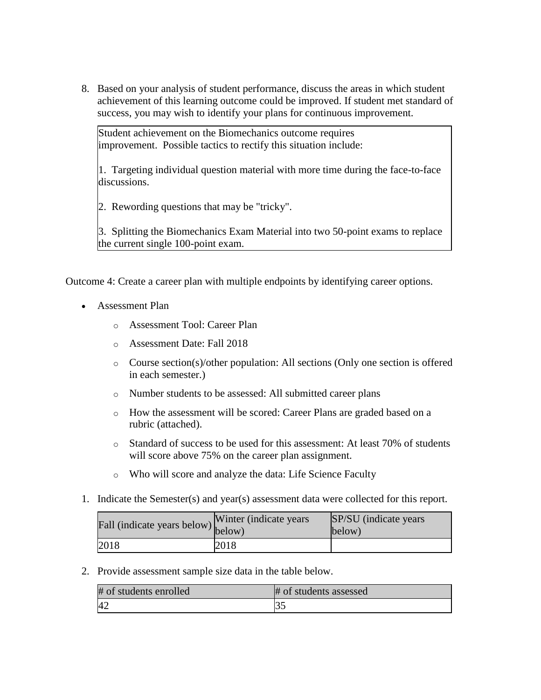8. Based on your analysis of student performance, discuss the areas in which student achievement of this learning outcome could be improved. If student met standard of success, you may wish to identify your plans for continuous improvement.

Student achievement on the Biomechanics outcome requires improvement. Possible tactics to rectify this situation include:

1. Targeting individual question material with more time during the face-to-face discussions.

2. Rewording questions that may be "tricky".

3. Splitting the Biomechanics Exam Material into two 50-point exams to replace the current single 100-point exam.

Outcome 4: Create a career plan with multiple endpoints by identifying career options.

- Assessment Plan
	- o Assessment Tool: Career Plan
	- o Assessment Date: Fall 2018
	- o Course section(s)/other population: All sections (Only one section is offered in each semester.)
	- o Number students to be assessed: All submitted career plans
	- o How the assessment will be scored: Career Plans are graded based on a rubric (attached).
	- o Standard of success to be used for this assessment: At least 70% of students will score above 75% on the career plan assignment.
	- o Who will score and analyze the data: Life Science Faculty
- 1. Indicate the Semester(s) and year(s) assessment data were collected for this report.

| rall (indicate years below) below) | Winter (indicate years) | SP/SU (indicate years)<br>below) |
|------------------------------------|-------------------------|----------------------------------|
| 2018                               | 2018                    |                                  |

2. Provide assessment sample size data in the table below.

| # of students enrolled | # of students assessed |
|------------------------|------------------------|
| -42                    |                        |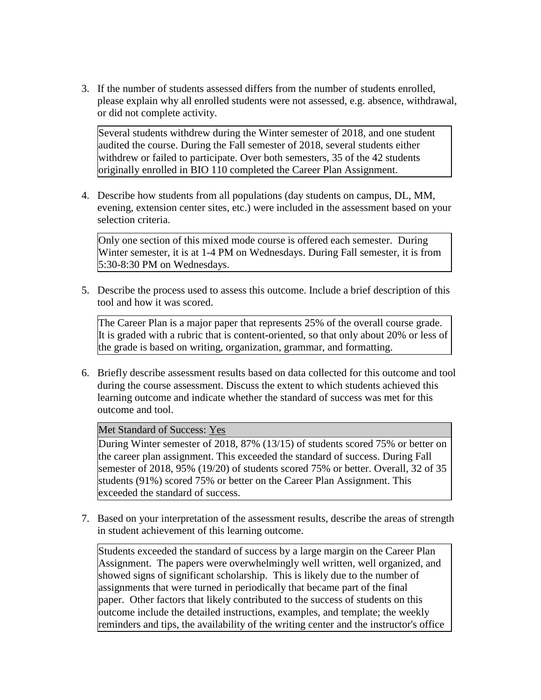3. If the number of students assessed differs from the number of students enrolled, please explain why all enrolled students were not assessed, e.g. absence, withdrawal, or did not complete activity.

Several students withdrew during the Winter semester of 2018, and one student audited the course. During the Fall semester of 2018, several students either withdrew or failed to participate. Over both semesters, 35 of the 42 students originally enrolled in BIO 110 completed the Career Plan Assignment.

4. Describe how students from all populations (day students on campus, DL, MM, evening, extension center sites, etc.) were included in the assessment based on your selection criteria.

Only one section of this mixed mode course is offered each semester. During Winter semester, it is at 1-4 PM on Wednesdays. During Fall semester, it is from 5:30-8:30 PM on Wednesdays.

5. Describe the process used to assess this outcome. Include a brief description of this tool and how it was scored.

The Career Plan is a major paper that represents 25% of the overall course grade. It is graded with a rubric that is content-oriented, so that only about 20% or less of the grade is based on writing, organization, grammar, and formatting.

6. Briefly describe assessment results based on data collected for this outcome and tool during the course assessment. Discuss the extent to which students achieved this learning outcome and indicate whether the standard of success was met for this outcome and tool.

Met Standard of Success: Yes

During Winter semester of 2018, 87% (13/15) of students scored 75% or better on the career plan assignment. This exceeded the standard of success. During Fall semester of 2018, 95% (19/20) of students scored 75% or better. Overall, 32 of 35 students (91%) scored 75% or better on the Career Plan Assignment. This exceeded the standard of success.

7. Based on your interpretation of the assessment results, describe the areas of strength in student achievement of this learning outcome.

Students exceeded the standard of success by a large margin on the Career Plan Assignment. The papers were overwhelmingly well written, well organized, and showed signs of significant scholarship. This is likely due to the number of assignments that were turned in periodically that became part of the final paper. Other factors that likely contributed to the success of students on this outcome include the detailed instructions, examples, and template; the weekly reminders and tips, the availability of the writing center and the instructor's office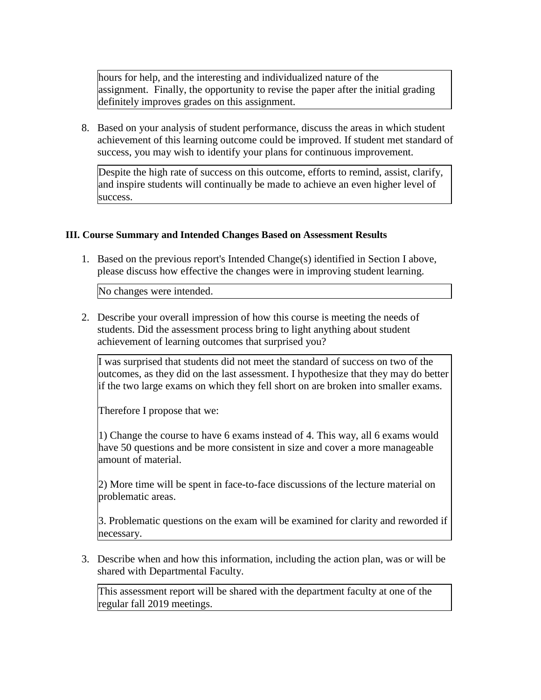hours for help, and the interesting and individualized nature of the assignment. Finally, the opportunity to revise the paper after the initial grading definitely improves grades on this assignment.

8. Based on your analysis of student performance, discuss the areas in which student achievement of this learning outcome could be improved. If student met standard of success, you may wish to identify your plans for continuous improvement.

Despite the high rate of success on this outcome, efforts to remind, assist, clarify, and inspire students will continually be made to achieve an even higher level of success.

## **III. Course Summary and Intended Changes Based on Assessment Results**

1. Based on the previous report's Intended Change(s) identified in Section I above, please discuss how effective the changes were in improving student learning.

No changes were intended.

2. Describe your overall impression of how this course is meeting the needs of students. Did the assessment process bring to light anything about student achievement of learning outcomes that surprised you?

I was surprised that students did not meet the standard of success on two of the outcomes, as they did on the last assessment. I hypothesize that they may do better if the two large exams on which they fell short on are broken into smaller exams.

Therefore I propose that we:

1) Change the course to have 6 exams instead of 4. This way, all 6 exams would have 50 questions and be more consistent in size and cover a more manageable amount of material.

2) More time will be spent in face-to-face discussions of the lecture material on problematic areas.

3. Problematic questions on the exam will be examined for clarity and reworded if necessary.

3. Describe when and how this information, including the action plan, was or will be shared with Departmental Faculty.

This assessment report will be shared with the department faculty at one of the regular fall 2019 meetings.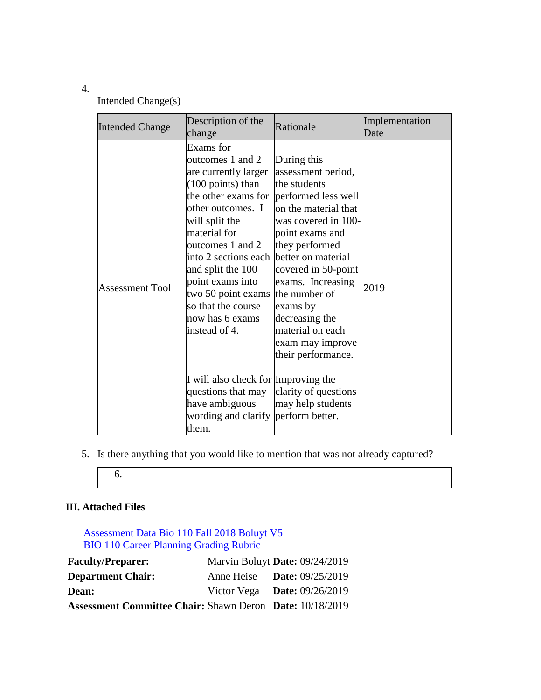## 4.

Intended Change(s)

| <b>Intended Change</b> | Description of the<br>change                                                                                                                                                                                                                                                                                                                                                   | Rationale                                                                                                                                                                                                                                                                                      | Implementation<br>Date |
|------------------------|--------------------------------------------------------------------------------------------------------------------------------------------------------------------------------------------------------------------------------------------------------------------------------------------------------------------------------------------------------------------------------|------------------------------------------------------------------------------------------------------------------------------------------------------------------------------------------------------------------------------------------------------------------------------------------------|------------------------|
| <b>Assessment Tool</b> | Exams for<br>outcomes 1 and 2<br>are currently larger<br>$(100 \text{ points})$ than<br>the other exams for performed less well<br>other outcomes. I<br>will split the<br>material for<br>outcomes 1 and 2<br>into 2 sections each better on material<br>and split the 100<br>point exams into<br>two 50 point exams<br>so that the course<br>now has 6 exams<br>instead of 4. | During this<br>assessment period,<br>the students<br>on the material that<br>was covered in 100-<br>point exams and<br>they performed<br>covered in 50-point<br>exams. Increasing<br>the number of<br>exams by<br>decreasing the<br>material on each<br>exam may improve<br>their performance. | 2019                   |
|                        | I will also check for Improving the<br>questions that may<br>have ambiguous<br>wording and clarify perform better.<br>them.                                                                                                                                                                                                                                                    | clarity of questions<br>may help students                                                                                                                                                                                                                                                      |                        |

- 5. Is there anything that you would like to mention that was not already captured?
	- 6.

# **III. Attached Files**

[Assessment Data Bio 110 Fall 2018 Boluyt V5](documents/Assessment%20Data%20BIO%20110%20Fall%202018%20%20Boluyt_V5.xlsx) **[BIO 110 Career Planning Grading Rubric](documents/BIO%20110%20Career%20Plan%20Grading%20Rubric_V10.doc)** 

| <b>Faculty/Preparer:</b>                                        | Marvin Boluyt Date: 09/24/2019     |  |
|-----------------------------------------------------------------|------------------------------------|--|
| <b>Department Chair:</b>                                        | Anne Heise <b>Date:</b> 09/25/2019 |  |
| Dean:                                                           | Victor Vega Date: $09/26/2019$     |  |
| <b>Assessment Committee Chair: Shawn Deron Date: 10/18/2019</b> |                                    |  |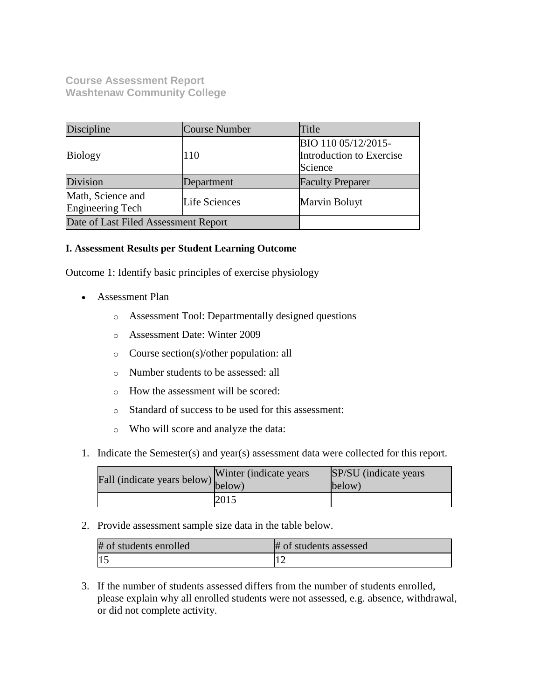**Course Assessment Report Washtenaw Community College**

| Discipline                                             | Course Number | Title                                                      |  |
|--------------------------------------------------------|---------------|------------------------------------------------------------|--|
| <b>Biology</b>                                         | 110           | BIO 110 05/12/2015-<br>Introduction to Exercise<br>Science |  |
| Division                                               | Department    | <b>Faculty Preparer</b>                                    |  |
| Math, Science and<br>Life Sciences<br>Engineering Tech |               | Marvin Boluyt                                              |  |
| Date of Last Filed Assessment Report                   |               |                                                            |  |

## **I. Assessment Results per Student Learning Outcome**

Outcome 1: Identify basic principles of exercise physiology

- Assessment Plan
	- o Assessment Tool: Departmentally designed questions
	- o Assessment Date: Winter 2009
	- o Course section(s)/other population: all
	- o Number students to be assessed: all
	- o How the assessment will be scored:
	- o Standard of success to be used for this assessment:
	- o Who will score and analyze the data:
- 1. Indicate the Semester(s) and year(s) assessment data were collected for this report.

| Fall (indicate years below) below) | Winter (indicate years) | SP/SU (indicate years)<br>below) |
|------------------------------------|-------------------------|----------------------------------|
|                                    | 2015                    |                                  |

2. Provide assessment sample size data in the table below.

| # of students enrolled | # of students assessed |
|------------------------|------------------------|
|                        |                        |

3. If the number of students assessed differs from the number of students enrolled, please explain why all enrolled students were not assessed, e.g. absence, withdrawal, or did not complete activity.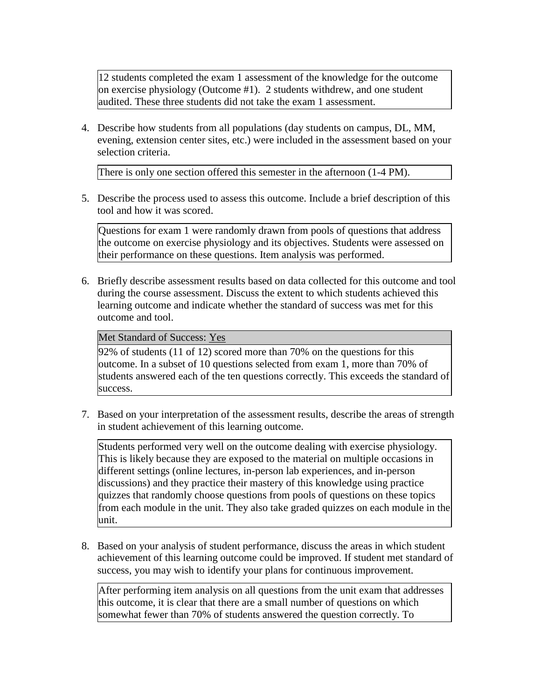12 students completed the exam 1 assessment of the knowledge for the outcome on exercise physiology (Outcome #1). 2 students withdrew, and one student audited. These three students did not take the exam 1 assessment.

4. Describe how students from all populations (day students on campus, DL, MM, evening, extension center sites, etc.) were included in the assessment based on your selection criteria.

There is only one section offered this semester in the afternoon (1-4 PM).

5. Describe the process used to assess this outcome. Include a brief description of this tool and how it was scored.

Questions for exam 1 were randomly drawn from pools of questions that address the outcome on exercise physiology and its objectives. Students were assessed on their performance on these questions. Item analysis was performed.

6. Briefly describe assessment results based on data collected for this outcome and tool during the course assessment. Discuss the extent to which students achieved this learning outcome and indicate whether the standard of success was met for this outcome and tool.

## Met Standard of Success: Yes

92% of students (11 of 12) scored more than 70% on the questions for this outcome. In a subset of 10 questions selected from exam 1, more than 70% of students answered each of the ten questions correctly. This exceeds the standard of success.

7. Based on your interpretation of the assessment results, describe the areas of strength in student achievement of this learning outcome.

Students performed very well on the outcome dealing with exercise physiology. This is likely because they are exposed to the material on multiple occasions in different settings (online lectures, in-person lab experiences, and in-person discussions) and they practice their mastery of this knowledge using practice quizzes that randomly choose questions from pools of questions on these topics from each module in the unit. They also take graded quizzes on each module in the unit.

8. Based on your analysis of student performance, discuss the areas in which student achievement of this learning outcome could be improved. If student met standard of success, you may wish to identify your plans for continuous improvement.

After performing item analysis on all questions from the unit exam that addresses this outcome, it is clear that there are a small number of questions on which somewhat fewer than 70% of students answered the question correctly. To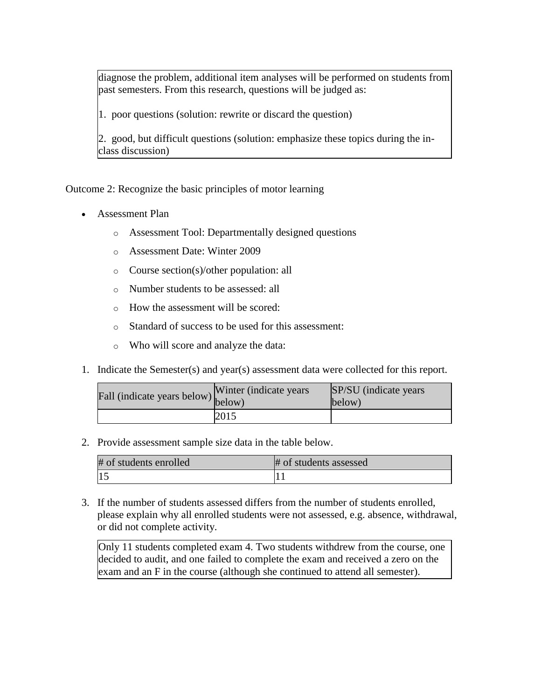diagnose the problem, additional item analyses will be performed on students from past semesters. From this research, questions will be judged as:

1. poor questions (solution: rewrite or discard the question)

2. good, but difficult questions (solution: emphasize these topics during the inclass discussion)

Outcome 2: Recognize the basic principles of motor learning

- Assessment Plan
	- o Assessment Tool: Departmentally designed questions
	- o Assessment Date: Winter 2009
	- o Course section(s)/other population: all
	- o Number students to be assessed: all
	- o How the assessment will be scored:
	- o Standard of success to be used for this assessment:
	- o Who will score and analyze the data:
- 1. Indicate the Semester(s) and year(s) assessment data were collected for this report.

| r'all (indicate years below) below) | Winter (indicate years) | SP/SU (indicate years)<br>below) |
|-------------------------------------|-------------------------|----------------------------------|
|                                     | 2015                    |                                  |

2. Provide assessment sample size data in the table below.

| # of students enrolled | # of students assessed |
|------------------------|------------------------|
|                        |                        |

3. If the number of students assessed differs from the number of students enrolled, please explain why all enrolled students were not assessed, e.g. absence, withdrawal, or did not complete activity.

Only 11 students completed exam 4. Two students withdrew from the course, one decided to audit, and one failed to complete the exam and received a zero on the exam and an F in the course (although she continued to attend all semester).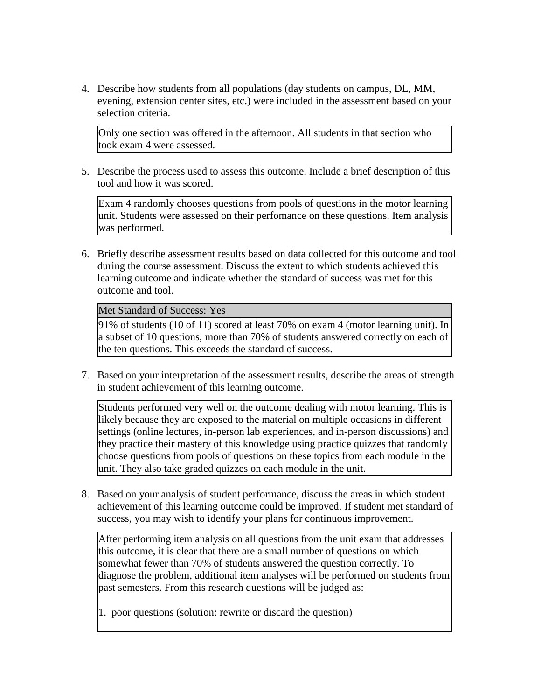4. Describe how students from all populations (day students on campus, DL, MM, evening, extension center sites, etc.) were included in the assessment based on your selection criteria.

Only one section was offered in the afternoon. All students in that section who took exam 4 were assessed.

5. Describe the process used to assess this outcome. Include a brief description of this tool and how it was scored.

Exam 4 randomly chooses questions from pools of questions in the motor learning unit. Students were assessed on their perfomance on these questions. Item analysis was performed.

6. Briefly describe assessment results based on data collected for this outcome and tool during the course assessment. Discuss the extent to which students achieved this learning outcome and indicate whether the standard of success was met for this outcome and tool.

Met Standard of Success: Yes

91% of students (10 of 11) scored at least 70% on exam 4 (motor learning unit). In a subset of 10 questions, more than 70% of students answered correctly on each of the ten questions. This exceeds the standard of success.

7. Based on your interpretation of the assessment results, describe the areas of strength in student achievement of this learning outcome.

Students performed very well on the outcome dealing with motor learning. This is likely because they are exposed to the material on multiple occasions in different settings (online lectures, in-person lab experiences, and in-person discussions) and they practice their mastery of this knowledge using practice quizzes that randomly choose questions from pools of questions on these topics from each module in the unit. They also take graded quizzes on each module in the unit.

8. Based on your analysis of student performance, discuss the areas in which student achievement of this learning outcome could be improved. If student met standard of success, you may wish to identify your plans for continuous improvement.

After performing item analysis on all questions from the unit exam that addresses this outcome, it is clear that there are a small number of questions on which somewhat fewer than 70% of students answered the question correctly. To diagnose the problem, additional item analyses will be performed on students from past semesters. From this research questions will be judged as:

1. poor questions (solution: rewrite or discard the question)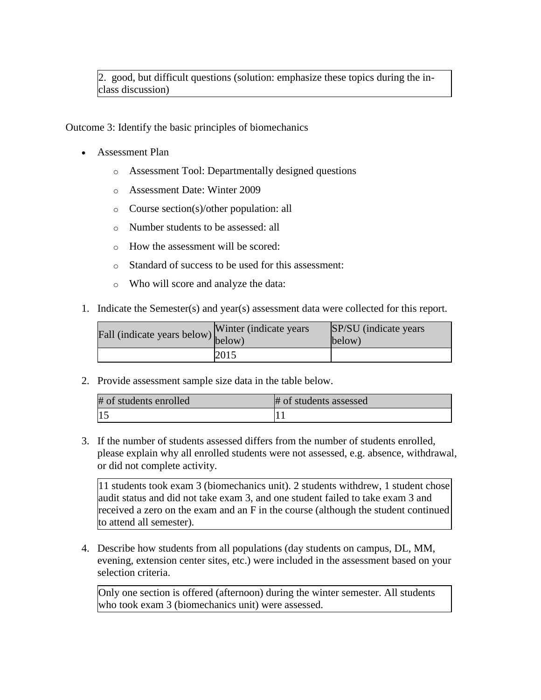2. good, but difficult questions (solution: emphasize these topics during the inclass discussion)

Outcome 3: Identify the basic principles of biomechanics

- Assessment Plan
	- o Assessment Tool: Departmentally designed questions
	- o Assessment Date: Winter 2009
	- o Course section(s)/other population: all
	- o Number students to be assessed: all
	- o How the assessment will be scored:
	- o Standard of success to be used for this assessment:
	- o Who will score and analyze the data:
- 1. Indicate the Semester(s) and year(s) assessment data were collected for this report.

| Fall (indicate years below) below) | Winter (indicate years) | <b>SP/SU</b> (indicate years)<br>below) |
|------------------------------------|-------------------------|-----------------------------------------|
|                                    | 2015                    |                                         |

2. Provide assessment sample size data in the table below.

| # of students enrolled | # of students assessed |
|------------------------|------------------------|
| $ 15\rangle$           |                        |

3. If the number of students assessed differs from the number of students enrolled, please explain why all enrolled students were not assessed, e.g. absence, withdrawal, or did not complete activity.

11 students took exam 3 (biomechanics unit). 2 students withdrew, 1 student chose audit status and did not take exam 3, and one student failed to take exam 3 and received a zero on the exam and an F in the course (although the student continued to attend all semester).

4. Describe how students from all populations (day students on campus, DL, MM, evening, extension center sites, etc.) were included in the assessment based on your selection criteria.

Only one section is offered (afternoon) during the winter semester. All students who took exam 3 (biomechanics unit) were assessed.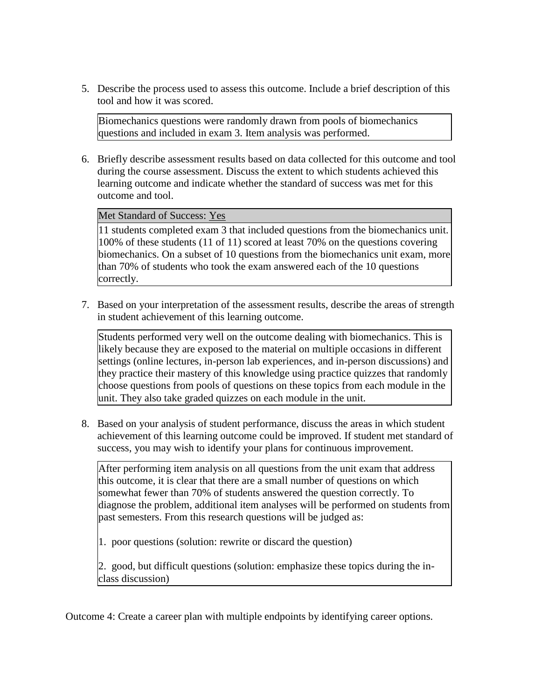5. Describe the process used to assess this outcome. Include a brief description of this tool and how it was scored.

Biomechanics questions were randomly drawn from pools of biomechanics questions and included in exam 3. Item analysis was performed.

6. Briefly describe assessment results based on data collected for this outcome and tool during the course assessment. Discuss the extent to which students achieved this learning outcome and indicate whether the standard of success was met for this outcome and tool.

Met Standard of Success: Yes

11 students completed exam 3 that included questions from the biomechanics unit. 100% of these students (11 of 11) scored at least 70% on the questions covering biomechanics. On a subset of 10 questions from the biomechanics unit exam, more than 70% of students who took the exam answered each of the 10 questions correctly.

7. Based on your interpretation of the assessment results, describe the areas of strength in student achievement of this learning outcome.

Students performed very well on the outcome dealing with biomechanics. This is likely because they are exposed to the material on multiple occasions in different settings (online lectures, in-person lab experiences, and in-person discussions) and they practice their mastery of this knowledge using practice quizzes that randomly choose questions from pools of questions on these topics from each module in the unit. They also take graded quizzes on each module in the unit.

8. Based on your analysis of student performance, discuss the areas in which student achievement of this learning outcome could be improved. If student met standard of success, you may wish to identify your plans for continuous improvement.

After performing item analysis on all questions from the unit exam that address this outcome, it is clear that there are a small number of questions on which somewhat fewer than 70% of students answered the question correctly. To diagnose the problem, additional item analyses will be performed on students from past semesters. From this research questions will be judged as:

1. poor questions (solution: rewrite or discard the question)

2. good, but difficult questions (solution: emphasize these topics during the inclass discussion)

Outcome 4: Create a career plan with multiple endpoints by identifying career options.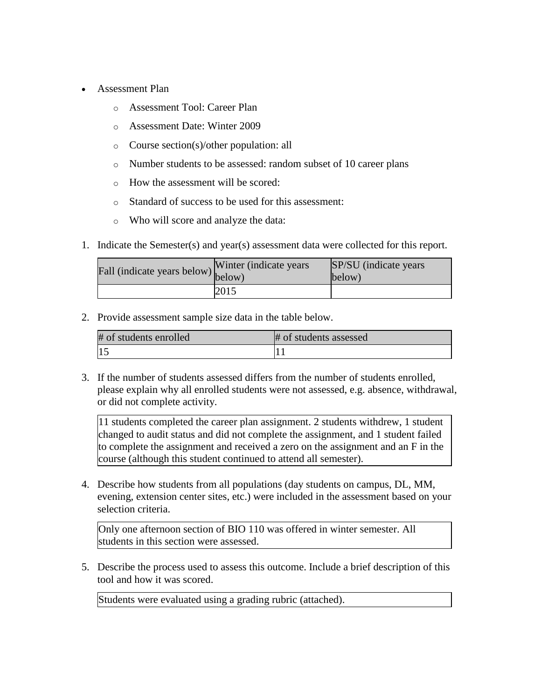- Assessment Plan
	- o Assessment Tool: Career Plan
	- o Assessment Date: Winter 2009
	- o Course section(s)/other population: all
	- o Number students to be assessed: random subset of 10 career plans
	- o How the assessment will be scored:
	- o Standard of success to be used for this assessment:
	- o Who will score and analyze the data:
- 1. Indicate the Semester(s) and year(s) assessment data were collected for this report.

| Fall (indicate years below) below) | Winter (indicate years) | SP/SU (indicate years)<br>below) |
|------------------------------------|-------------------------|----------------------------------|
|                                    | 2015                    |                                  |

2. Provide assessment sample size data in the table below.

| # of students enrolled | # of students assessed |
|------------------------|------------------------|
|                        |                        |

3. If the number of students assessed differs from the number of students enrolled, please explain why all enrolled students were not assessed, e.g. absence, withdrawal, or did not complete activity.

11 students completed the career plan assignment. 2 students withdrew, 1 student changed to audit status and did not complete the assignment, and 1 student failed to complete the assignment and received a zero on the assignment and an F in the course (although this student continued to attend all semester).

4. Describe how students from all populations (day students on campus, DL, MM, evening, extension center sites, etc.) were included in the assessment based on your selection criteria.

Only one afternoon section of BIO 110 was offered in winter semester. All students in this section were assessed.

5. Describe the process used to assess this outcome. Include a brief description of this tool and how it was scored.

Students were evaluated using a grading rubric (attached).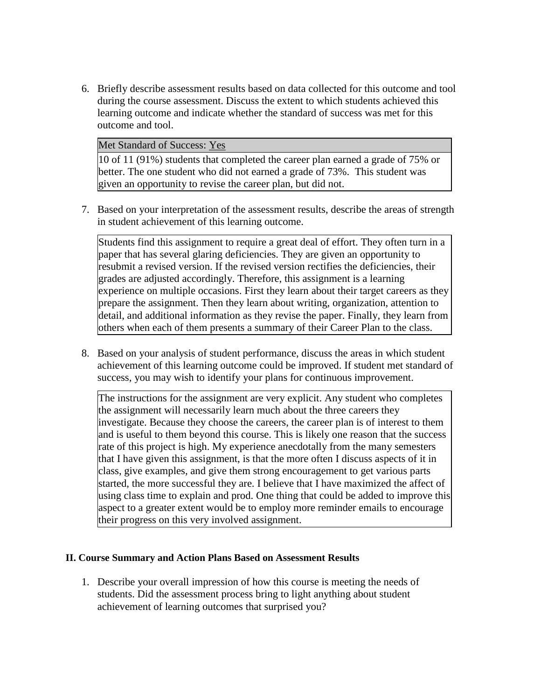6. Briefly describe assessment results based on data collected for this outcome and tool during the course assessment. Discuss the extent to which students achieved this learning outcome and indicate whether the standard of success was met for this outcome and tool.

#### Met Standard of Success: Yes

10 of 11 (91%) students that completed the career plan earned a grade of 75% or better. The one student who did not earned a grade of 73%. This student was given an opportunity to revise the career plan, but did not.

7. Based on your interpretation of the assessment results, describe the areas of strength in student achievement of this learning outcome.

Students find this assignment to require a great deal of effort. They often turn in a paper that has several glaring deficiencies. They are given an opportunity to resubmit a revised version. If the revised version rectifies the deficiencies, their grades are adjusted accordingly. Therefore, this assignment is a learning experience on multiple occasions. First they learn about their target careers as they prepare the assignment. Then they learn about writing, organization, attention to detail, and additional information as they revise the paper. Finally, they learn from others when each of them presents a summary of their Career Plan to the class.

8. Based on your analysis of student performance, discuss the areas in which student achievement of this learning outcome could be improved. If student met standard of success, you may wish to identify your plans for continuous improvement.

The instructions for the assignment are very explicit. Any student who completes the assignment will necessarily learn much about the three careers they investigate. Because they choose the careers, the career plan is of interest to them and is useful to them beyond this course. This is likely one reason that the success rate of this project is high. My experience anecdotally from the many semesters that I have given this assignment, is that the more often I discuss aspects of it in class, give examples, and give them strong encouragement to get various parts started, the more successful they are. I believe that I have maximized the affect of using class time to explain and prod. One thing that could be added to improve this aspect to a greater extent would be to employ more reminder emails to encourage their progress on this very involved assignment.

#### **II. Course Summary and Action Plans Based on Assessment Results**

1. Describe your overall impression of how this course is meeting the needs of students. Did the assessment process bring to light anything about student achievement of learning outcomes that surprised you?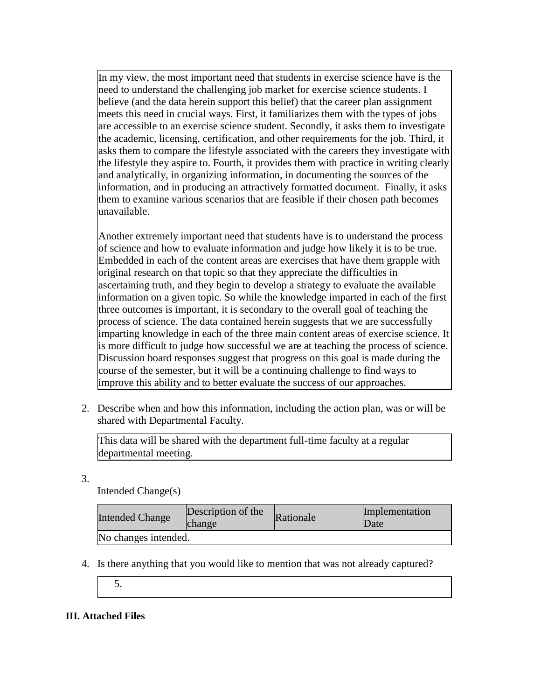In my view, the most important need that students in exercise science have is the need to understand the challenging job market for exercise science students. I believe (and the data herein support this belief) that the career plan assignment meets this need in crucial ways. First, it familiarizes them with the types of jobs are accessible to an exercise science student. Secondly, it asks them to investigate the academic, licensing, certification, and other requirements for the job. Third, it asks them to compare the lifestyle associated with the careers they investigate with the lifestyle they aspire to. Fourth, it provides them with practice in writing clearly and analytically, in organizing information, in documenting the sources of the information, and in producing an attractively formatted document. Finally, it asks them to examine various scenarios that are feasible if their chosen path becomes unavailable.

Another extremely important need that students have is to understand the process of science and how to evaluate information and judge how likely it is to be true. Embedded in each of the content areas are exercises that have them grapple with original research on that topic so that they appreciate the difficulties in ascertaining truth, and they begin to develop a strategy to evaluate the available information on a given topic. So while the knowledge imparted in each of the first three outcomes is important, it is secondary to the overall goal of teaching the process of science. The data contained herein suggests that we are successfully imparting knowledge in each of the three main content areas of exercise science. It is more difficult to judge how successful we are at teaching the process of science. Discussion board responses suggest that progress on this goal is made during the course of the semester, but it will be a continuing challenge to find ways to improve this ability and to better evaluate the success of our approaches.

2. Describe when and how this information, including the action plan, was or will be shared with Departmental Faculty.

This data will be shared with the department full-time faculty at a regular departmental meeting.

3.

Intended Change(s)

| <b>Intended Change</b> | Description of the<br>change | Rationale | Implementation<br>Date |
|------------------------|------------------------------|-----------|------------------------|
| No changes intended.   |                              |           |                        |

- 4. Is there anything that you would like to mention that was not already captured?
	- 5.

# **III. Attached Files**